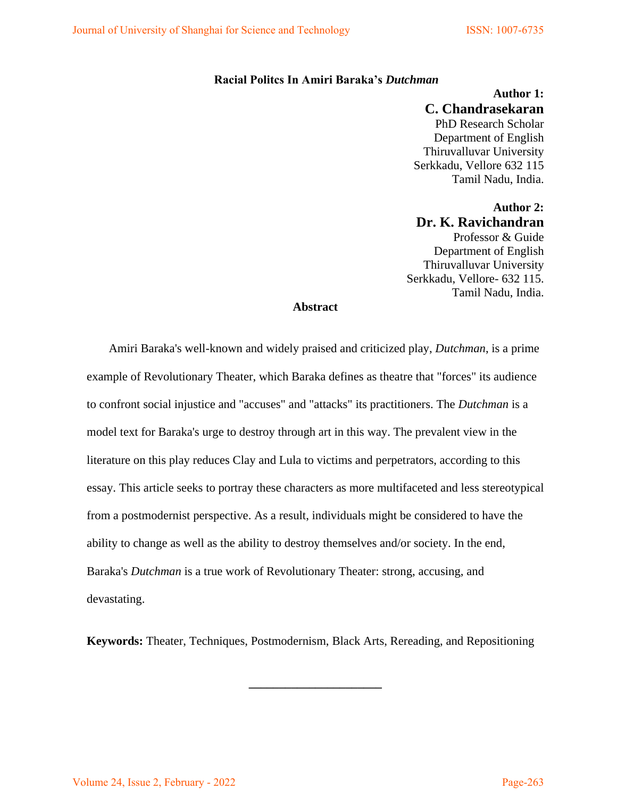## **Racial Politcs In Amiri Baraka's** *Dutchman*

**Author 1: C. Chandrasekaran**  PhD Research Scholar Department of English Thiruvalluvar University Serkkadu, Vellore 632 115 Tamil Nadu, India.

**Author 2: Dr. K. Ravichandran**  Professor & Guide Department of English Thiruvalluvar University Serkkadu, Vellore- 632 115. Tamil Nadu, India.

## **Abstract**

Amiri Baraka's well-known and widely praised and criticized play, *Dutchman*, is a prime example of Revolutionary Theater, which Baraka defines as theatre that "forces" its audience to confront social injustice and "accuses" and "attacks" its practitioners. The *Dutchman* is a model text for Baraka's urge to destroy through art in this way. The prevalent view in the literature on this play reduces Clay and Lula to victims and perpetrators, according to this essay. This article seeks to portray these characters as more multifaceted and less stereotypical from a postmodernist perspective. As a result, individuals might be considered to have the ability to change as well as the ability to destroy themselves and/or society. In the end, Baraka's *Dutchman* is a true work of Revolutionary Theater: strong, accusing, and devastating.

**Keywords:** Theater, Techniques, Postmodernism, Black Arts, Rereading, and Repositioning

**\_\_\_\_\_\_\_\_\_\_\_\_\_\_\_\_\_\_\_\_\_\_**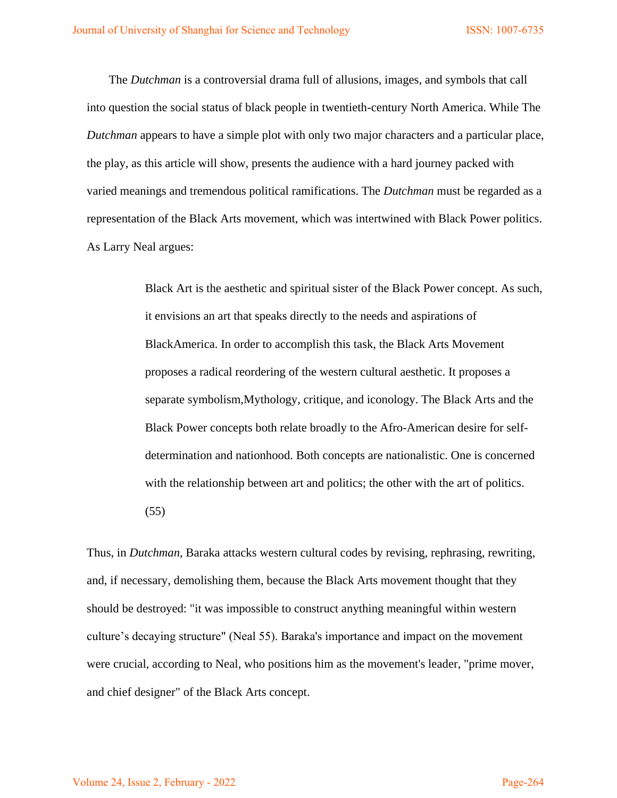The *Dutchman* is a controversial drama full of allusions, images, and symbols that call into question the social status of black people in twentieth-century North America. While The *Dutchman* appears to have a simple plot with only two major characters and a particular place, the play, as this article will show, presents the audience with a hard journey packed with varied meanings and tremendous political ramifications. The *Dutchman* must be regarded as a representation of the Black Arts movement, which was intertwined with Black Power politics. As Larry Neal argues:

> Black Art is the aesthetic and spiritual sister of the Black Power concept. As such, it envisions an art that speaks directly to the needs and aspirations of BlackAmerica. In order to accomplish this task, the Black Arts Movement proposes a radical reordering of the western cultural aesthetic. It proposes a separate symbolism,Mythology, critique, and iconology. The Black Arts and the Black Power concepts both relate broadly to the Afro-American desire for selfdetermination and nationhood. Both concepts are nationalistic. One is concerned with the relationship between art and politics; the other with the art of politics. (55)

Thus, in *Dutchman*, Baraka attacks western cultural codes by revising, rephrasing, rewriting, and, if necessary, demolishing them, because the Black Arts movement thought that they should be destroyed: "it was impossible to construct anything meaningful within western culture's decaying structure" (Neal 55). Baraka's importance and impact on the movement were crucial, according to Neal, who positions him as the movement's leader, "prime mover, and chief designer" of the Black Arts concept.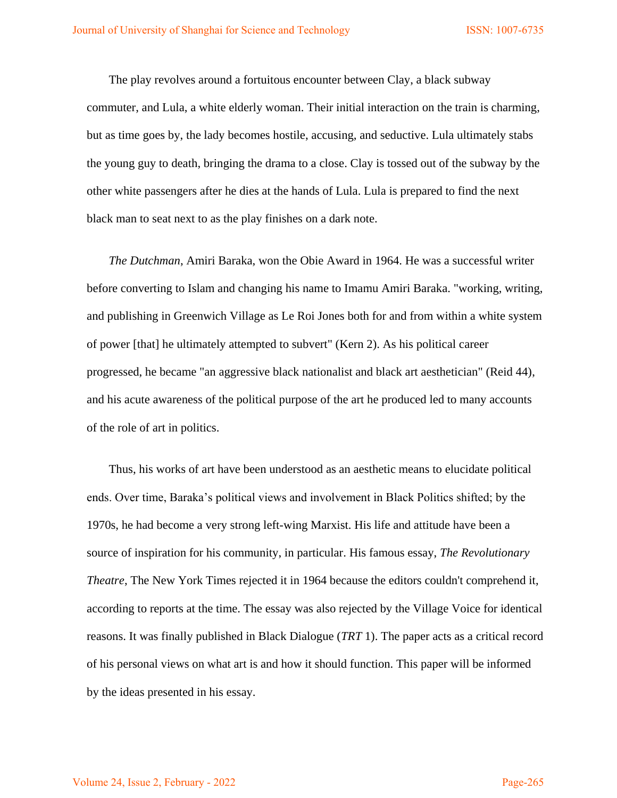The play revolves around a fortuitous encounter between Clay, a black subway commuter, and Lula, a white elderly woman. Their initial interaction on the train is charming, but as time goes by, the lady becomes hostile, accusing, and seductive. Lula ultimately stabs the young guy to death, bringing the drama to a close. Clay is tossed out of the subway by the other white passengers after he dies at the hands of Lula. Lula is prepared to find the next black man to seat next to as the play finishes on a dark note.

*The Dutchman*, Amiri Baraka, won the Obie Award in 1964. He was a successful writer before converting to Islam and changing his name to Imamu Amiri Baraka. "working, writing, and publishing in Greenwich Village as Le Roi Jones both for and from within a white system of power [that] he ultimately attempted to subvert" (Kern 2). As his political career progressed, he became "an aggressive black nationalist and black art aesthetician" (Reid 44), and his acute awareness of the political purpose of the art he produced led to many accounts of the role of art in politics.

Thus, his works of art have been understood as an aesthetic means to elucidate political ends. Over time, Baraka's political views and involvement in Black Politics shifted; by the 1970s, he had become a very strong left-wing Marxist. His life and attitude have been a source of inspiration for his community, in particular. His famous essay, *The Revolutionary Theatre*, The New York Times rejected it in 1964 because the editors couldn't comprehend it, according to reports at the time. The essay was also rejected by the Village Voice for identical reasons. It was finally published in Black Dialogue (*TRT* 1). The paper acts as a critical record of his personal views on what art is and how it should function. This paper will be informed by the ideas presented in his essay.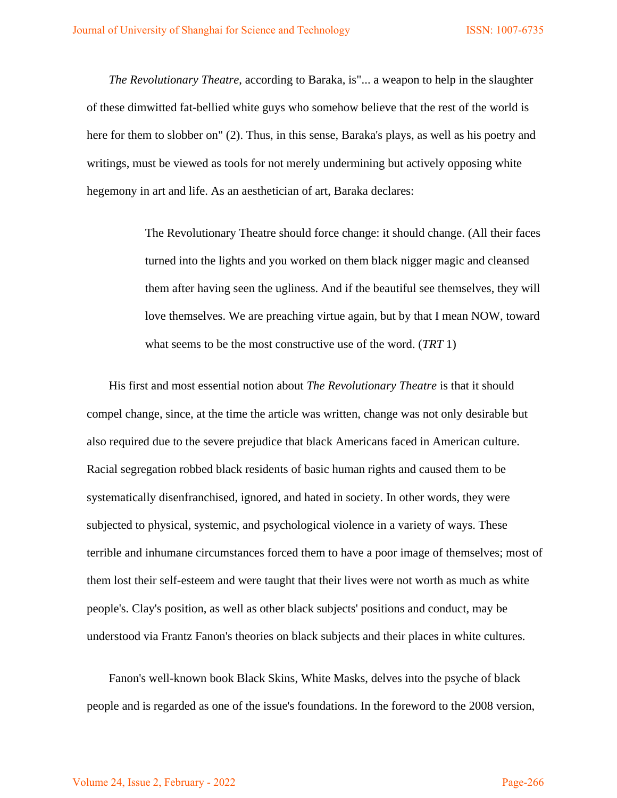*The Revolutionary Theatre*, according to Baraka, is"... a weapon to help in the slaughter of these dimwitted fat-bellied white guys who somehow believe that the rest of the world is here for them to slobber on" (2). Thus, in this sense, Baraka's plays, as well as his poetry and writings, must be viewed as tools for not merely undermining but actively opposing white hegemony in art and life. As an aesthetician of art, Baraka declares:

> The Revolutionary Theatre should force change: it should change. (All their faces turned into the lights and you worked on them black nigger magic and cleansed them after having seen the ugliness. And if the beautiful see themselves, they will love themselves. We are preaching virtue again, but by that I mean NOW, toward what seems to be the most constructive use of the word. (*TRT* 1)

His first and most essential notion about *The Revolutionary Theatre* is that it should compel change, since, at the time the article was written, change was not only desirable but also required due to the severe prejudice that black Americans faced in American culture. Racial segregation robbed black residents of basic human rights and caused them to be systematically disenfranchised, ignored, and hated in society. In other words, they were subjected to physical, systemic, and psychological violence in a variety of ways. These terrible and inhumane circumstances forced them to have a poor image of themselves; most of them lost their self-esteem and were taught that their lives were not worth as much as white people's. Clay's position, as well as other black subjects' positions and conduct, may be understood via Frantz Fanon's theories on black subjects and their places in white cultures.

Fanon's well-known book Black Skins, White Masks, delves into the psyche of black people and is regarded as one of the issue's foundations. In the foreword to the 2008 version,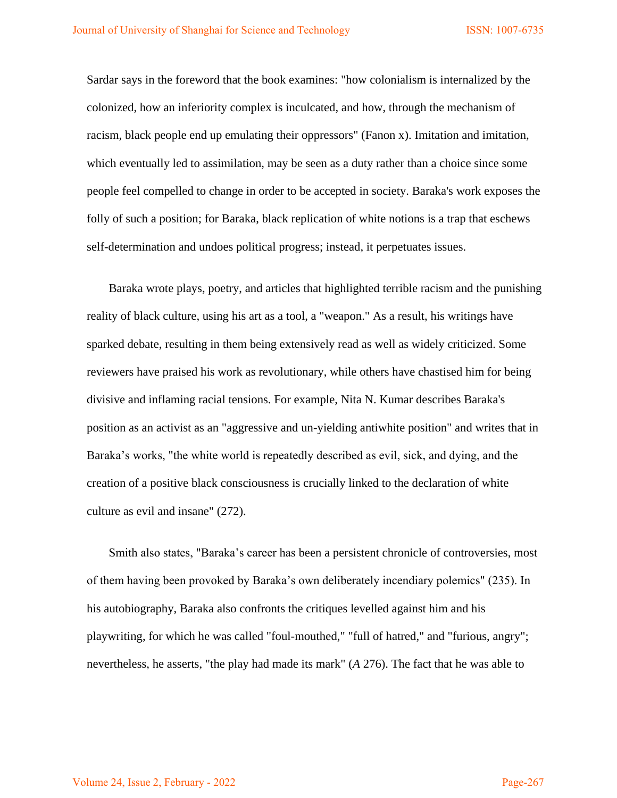Sardar says in the foreword that the book examines: "how colonialism is internalized by the colonized, how an inferiority complex is inculcated, and how, through the mechanism of racism, black people end up emulating their oppressors" (Fanon x). Imitation and imitation, which eventually led to assimilation, may be seen as a duty rather than a choice since some people feel compelled to change in order to be accepted in society. Baraka's work exposes the folly of such a position; for Baraka, black replication of white notions is a trap that eschews self-determination and undoes political progress; instead, it perpetuates issues.

Baraka wrote plays, poetry, and articles that highlighted terrible racism and the punishing reality of black culture, using his art as a tool, a "weapon." As a result, his writings have sparked debate, resulting in them being extensively read as well as widely criticized. Some reviewers have praised his work as revolutionary, while others have chastised him for being divisive and inflaming racial tensions. For example, Nita N. Kumar describes Baraka's position as an activist as an "aggressive and un-yielding antiwhite position" and writes that in Baraka's works, "the white world is repeatedly described as evil, sick, and dying, and the creation of a positive black consciousness is crucially linked to the declaration of white culture as evil and insane" (272).

Smith also states, "Baraka's career has been a persistent chronicle of controversies, most of them having been provoked by Baraka's own deliberately incendiary polemics" (235). In his autobiography, Baraka also confronts the critiques levelled against him and his playwriting, for which he was called "foul-mouthed," "full of hatred," and "furious, angry"; nevertheless, he asserts, "the play had made its mark" (*A* 276). The fact that he was able to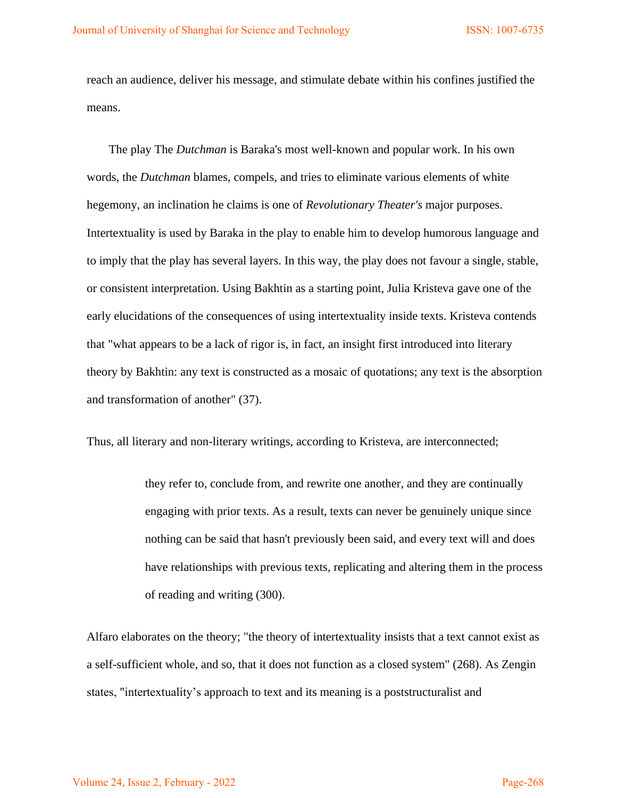reach an audience, deliver his message, and stimulate debate within his confines justified the means.

The play The *Dutchman* is Baraka's most well-known and popular work. In his own words, the *Dutchman* blames, compels, and tries to eliminate various elements of white hegemony, an inclination he claims is one of *Revolutionary Theater's* major purposes. Intertextuality is used by Baraka in the play to enable him to develop humorous language and to imply that the play has several layers. In this way, the play does not favour a single, stable, or consistent interpretation. Using Bakhtin as a starting point, Julia Kristeva gave one of the early elucidations of the consequences of using intertextuality inside texts. Kristeva contends that "what appears to be a lack of rigor is, in fact, an insight first introduced into literary theory by Bakhtin: any text is constructed as a mosaic of quotations; any text is the absorption and transformation of another" (37).

Thus, all literary and non-literary writings, according to Kristeva, are interconnected;

they refer to, conclude from, and rewrite one another, and they are continually engaging with prior texts. As a result, texts can never be genuinely unique since nothing can be said that hasn't previously been said, and every text will and does have relationships with previous texts, replicating and altering them in the process of reading and writing (300).

Alfaro elaborates on the theory; "the theory of intertextuality insists that a text cannot exist as a self-sufficient whole, and so, that it does not function as a closed system" (268). As Zengin states, "intertextuality's approach to text and its meaning is a poststructuralist and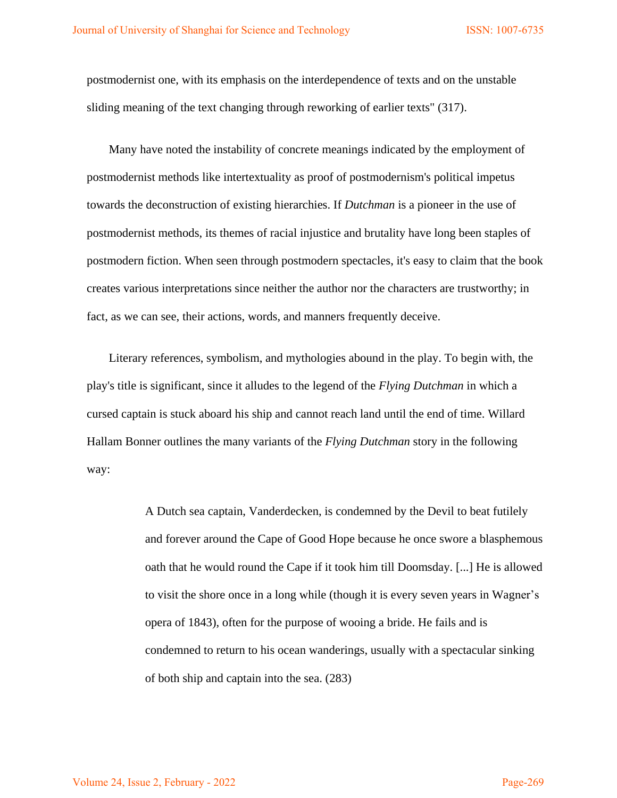postmodernist one, with its emphasis on the interdependence of texts and on the unstable sliding meaning of the text changing through reworking of earlier texts" (317).

Many have noted the instability of concrete meanings indicated by the employment of postmodernist methods like intertextuality as proof of postmodernism's political impetus towards the deconstruction of existing hierarchies. If *Dutchman* is a pioneer in the use of postmodernist methods, its themes of racial injustice and brutality have long been staples of postmodern fiction. When seen through postmodern spectacles, it's easy to claim that the book creates various interpretations since neither the author nor the characters are trustworthy; in fact, as we can see, their actions, words, and manners frequently deceive.

Literary references, symbolism, and mythologies abound in the play. To begin with, the play's title is significant, since it alludes to the legend of the *Flying Dutchman* in which a cursed captain is stuck aboard his ship and cannot reach land until the end of time. Willard Hallam Bonner outlines the many variants of the *Flying Dutchman* story in the following way:

> A Dutch sea captain, Vanderdecken, is condemned by the Devil to beat futilely and forever around the Cape of Good Hope because he once swore a blasphemous oath that he would round the Cape if it took him till Doomsday. [...] He is allowed to visit the shore once in a long while (though it is every seven years in Wagner's opera of 1843), often for the purpose of wooing a bride. He fails and is condemned to return to his ocean wanderings, usually with a spectacular sinking of both ship and captain into the sea. (283)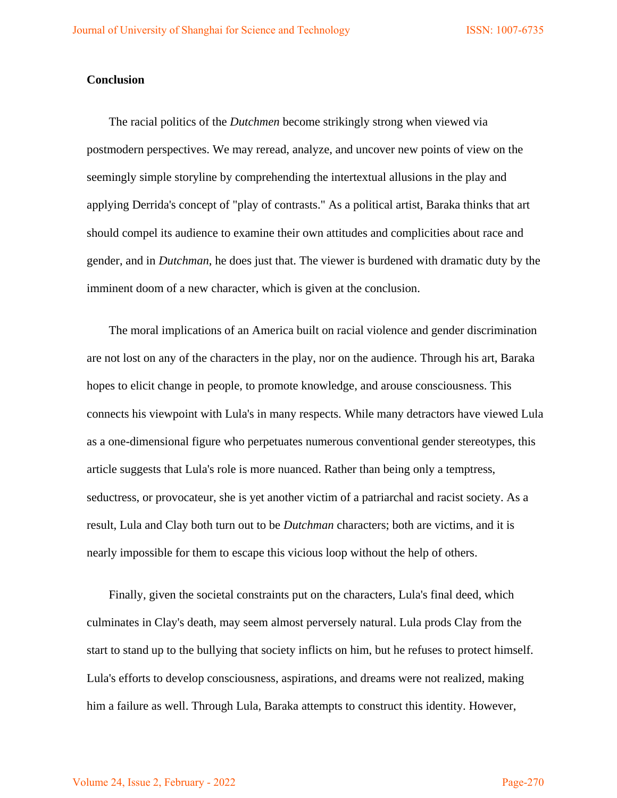## **Conclusion**

The racial politics of the *Dutchmen* become strikingly strong when viewed via postmodern perspectives. We may reread, analyze, and uncover new points of view on the seemingly simple storyline by comprehending the intertextual allusions in the play and applying Derrida's concept of "play of contrasts." As a political artist, Baraka thinks that art should compel its audience to examine their own attitudes and complicities about race and gender, and in *Dutchman*, he does just that. The viewer is burdened with dramatic duty by the imminent doom of a new character, which is given at the conclusion.

The moral implications of an America built on racial violence and gender discrimination are not lost on any of the characters in the play, nor on the audience. Through his art, Baraka hopes to elicit change in people, to promote knowledge, and arouse consciousness. This connects his viewpoint with Lula's in many respects. While many detractors have viewed Lula as a one-dimensional figure who perpetuates numerous conventional gender stereotypes, this article suggests that Lula's role is more nuanced. Rather than being only a temptress, seductress, or provocateur, she is yet another victim of a patriarchal and racist society. As a result, Lula and Clay both turn out to be *Dutchman* characters; both are victims, and it is nearly impossible for them to escape this vicious loop without the help of others.

Finally, given the societal constraints put on the characters, Lula's final deed, which culminates in Clay's death, may seem almost perversely natural. Lula prods Clay from the start to stand up to the bullying that society inflicts on him, but he refuses to protect himself. Lula's efforts to develop consciousness, aspirations, and dreams were not realized, making him a failure as well. Through Lula, Baraka attempts to construct this identity. However,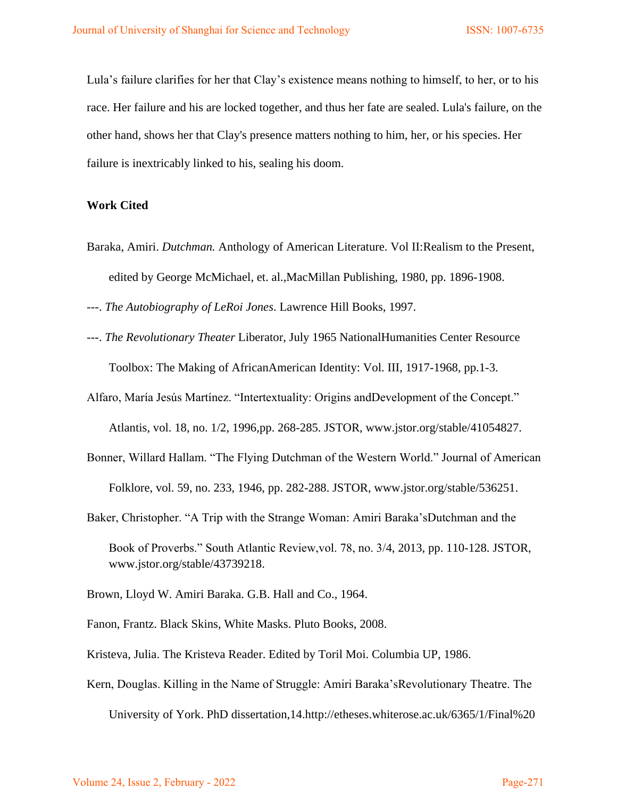Lula's failure clarifies for her that Clay's existence means nothing to himself, to her, or to his race. Her failure and his are locked together, and thus her fate are sealed. Lula's failure, on the other hand, shows her that Clay's presence matters nothing to him, her, or his species. Her failure is inextricably linked to his, sealing his doom.

## **Work Cited**

Baraka, Amiri. *Dutchman.* Anthology of American Literature. Vol II:Realism to the Present, edited by George McMichael, et. al.,MacMillan Publishing, 1980, pp. 1896-1908.

---. *The Autobiography of LeRoi Jones*. Lawrence Hill Books, 1997.

- ---. *The Revolutionary Theater* Liberator, July 1965 NationalHumanities Center Resource Toolbox: The Making of AfricanAmerican Identity: Vol. III, 1917-1968, pp.1-3.
- Alfaro, María Jesús Martínez. "Intertextuality: Origins andDevelopment of the Concept."

Atlantis, vol. 18, no. 1/2, 1996,pp. 268-285. JSTOR, www.jstor.org/stable/41054827.

- Bonner, Willard Hallam. "The Flying Dutchman of the Western World." Journal of American Folklore, vol. 59, no. 233, 1946, pp. 282-288. JSTOR, www.jstor.org/stable/536251.
- Baker, Christopher. "A Trip with the Strange Woman: Amiri Baraka'sDutchman and the Book of Proverbs." South Atlantic Review,vol. 78, no. 3/4, 2013, pp. 110-128. JSTOR, www.jstor.org/stable/43739218.
- Brown, Lloyd W. Amiri Baraka. G.B. Hall and Co., 1964.
- Fanon, Frantz. Black Skins, White Masks. Pluto Books, 2008.
- Kristeva, Julia. The Kristeva Reader. Edited by Toril Moi. Columbia UP, 1986.
- Kern, Douglas. Killing in the Name of Struggle: Amiri Baraka'sRevolutionary Theatre. The University of York. PhD dissertation,14.http://etheses.whiterose.ac.uk/6365/1/Final%20